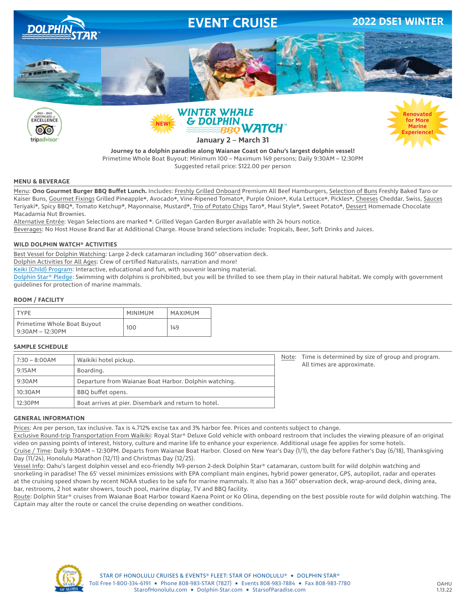

**Journey to a dolphin paradise along Waianae Coast on Oahu's largest dolphin vessel!** Primetime Whole Boat Buyout: Minimum 100 – Maximum 149 persons; Daily 9:30AM – 12:30PM Suggested retail price: \$122.00 per person

### **MENU & BEVERAGE**

Menu: **Ono Gourmet Burger BBQ Buffet Lunch.** Includes: Freshly Grilled Onboard Premium All Beef Hamburgers, Selection of Buns Freshly Baked Taro or Kaiser Buns, Gourmet Fixings Grilled Pineapple❋, Avocado❋, Vine-Ripened Tomato❋, Purple Onion❋, Kula Lettuce❋, Pickles❋, Cheeses Cheddar, Swiss, Sauces Teriyaki❋, Spicy BBQ❋, Tomato Ketchup❋, Mayonnaise, Mustard❋, Trio of Potato Chips Taro❋, Maui Style❋, Sweet Potato❋, Dessert Homemade Chocolate Macadamia Nut Brownies.

Alternative Entrée: Vegan Selections are marked ❋. Grilled Vegan Garden Burger available with 24 hours notice. Beverages: No Host House Brand Bar at Additional Charge. House brand selections include: Tropicals, Beer, Soft Drinks and Juices.

### **WILD DOLPHIN WATCH® ACTIVITIES**

Best Vessel for Dolphin Watching: Large 2-deck catamaran including 360° observation deck.

Dolphin Activities for All Ages: Crew of certified Naturalists, narration and more!

Keiki (Child) Program: Interactive, educational and fun, with souvenir learning material.

Dolphin Star® Pledge: Swimming with dolphins is prohibited, but you will be thrilled to see them play in their natural habitat. We comply with government guidelines for protection of marine mammals.

### **ROOM / FACILITY**

| TYPF                                            | <b>MINIMUM</b> | MAXIMUM |
|-------------------------------------------------|----------------|---------|
| Primetime Whole Boat Buyout<br>9:30AM – 12:30PM | 100            | 149     |

### **SAMPLE SCHEDULE**

| $7:30 - 8:00AM$ | Waikiki hotel pickup.                                 | Note: Time is determined by size of group and program.<br>All times are approximate. |
|-----------------|-------------------------------------------------------|--------------------------------------------------------------------------------------|
| 9:15AM          | Boarding.                                             |                                                                                      |
| 9:30AM          | Departure from Waianae Boat Harbor. Dolphin watching. |                                                                                      |
| 10:30AM         | BBQ buffet opens.                                     |                                                                                      |
| 12:30PM         | Boat arrives at pier. Disembark and return to hotel.  |                                                                                      |

#### **GENERAL INFORMATION**

Prices: Are per person, tax inclusive. Tax is 4.712% excise tax and 3% harbor fee. Prices and contents subject to change.

Exclusive Round-trip Transportation From Waikiki: Royal Star® Deluxe Gold vehicle with onboard restroom that includes the viewing pleasure of an original video on passing points of interest, history, culture and marine life to enhance your experience. Additional usage fee applies for some hotels.

Cruise / Time: Daily 9:30AM – 12:30PM. Departs from Waianae Boat Harbor. Closed on New Year's Day (1/1), the day before Father's Day (6/18), Thanksgiving Day (11/24), Honolulu Marathon (12/11) and Christmas Day (12/25).

Vessel Info: Oahu's largest dolphin vessel and eco-friendly 149-person 2-deck Dolphin Star® catamaran, custom built for wild dolphin watching and snorkeling in paradise! The 65' vessel minimizes emissions with EPA compliant main engines, hybrid power generator, GPS, autopilot, radar and operates at the cruising speed shown by recent NOAA studies to be safe for marine mammals. It also has a 360° observation deck, wrap-around deck, dining area, bar, restrooms, 2 hot water showers, touch pool, marine display, TV and BBQ facility.

Route: Dolphin Star® cruises from Waianae Boat Harbor toward Kaena Point or Ko Olina, depending on the best possible route for wild dolphin watching. The Captain may alter the route or cancel the cruise depending on weather conditions.